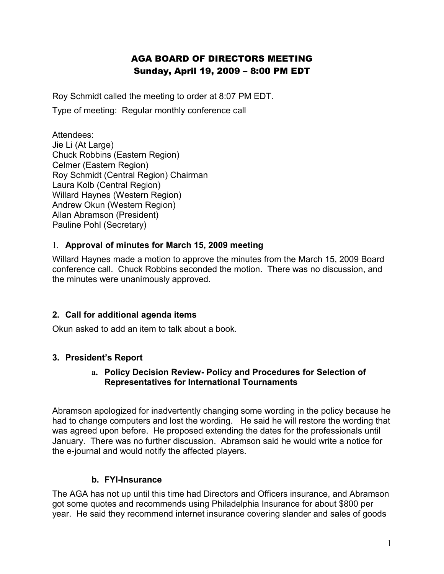# AGA BOARD OF DIRECTORS MEETING Sunday, April 19, 2009 – 8:00 PM EDT

Roy Schmidt called the meeting to order at 8:07 PM EDT.

Type of meeting: Regular monthly conference call

Attendees: Jie Li (At Large) Chuck Robbins (Eastern Region) Celmer (Eastern Region) Roy Schmidt (Central Region) Chairman Laura Kolb (Central Region) Willard Haynes (Western Region) Andrew Okun (Western Region) Allan Abramson (President) Pauline Pohl (Secretary)

### 1. **Approval of minutes for March 15, 2009 meeting**

Willard Haynes made a motion to approve the minutes from the March 15, 2009 Board conference call. Chuck Robbins seconded the motion. There was no discussion, and the minutes were unanimously approved.

### **2. Call for additional agenda items**

Okun asked to add an item to talk about a book.

### **3. President's Report**

#### **a. Policy Decision Review- Policy and Procedures for Selection of Representatives for International Tournaments**

Abramson apologized for inadvertently changing some wording in the policy because he had to change computers and lost the wording. He said he will restore the wording that was agreed upon before. He proposed extending the dates for the professionals until January. There was no further discussion. Abramson said he would write a notice for the e-journal and would notify the affected players.

### **b. FYI-Insurance**

The AGA has not up until this time had Directors and Officers insurance, and Abramson got some quotes and recommends using Philadelphia Insurance for about \$800 per year. He said they recommend internet insurance covering slander and sales of goods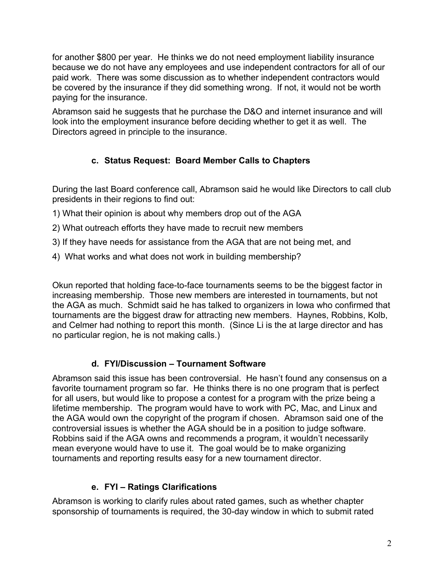for another \$800 per year. He thinks we do not need employment liability insurance because we do not have any employees and use independent contractors for all of our paid work. There was some discussion as to whether independent contractors would be covered by the insurance if they did something wrong. If not, it would not be worth paying for the insurance.

Abramson said he suggests that he purchase the D&O and internet insurance and will look into the employment insurance before deciding whether to get it as well. The Directors agreed in principle to the insurance.

# **c. Status Request: Board Member Calls to Chapters**

During the last Board conference call, Abramson said he would like Directors to call club presidents in their regions to find out:

- 1) What their opinion is about why members drop out of the AGA
- 2) What outreach efforts they have made to recruit new members
- 3) If they have needs for assistance from the AGA that are not being met, and
- 4) What works and what does not work in building membership?

Okun reported that holding face-to-face tournaments seems to be the biggest factor in increasing membership. Those new members are interested in tournaments, but not the AGA as much. Schmidt said he has talked to organizers in Iowa who confirmed that tournaments are the biggest draw for attracting new members. Haynes, Robbins, Kolb, and Celmer had nothing to report this month. (Since Li is the at large director and has no particular region, he is not making calls.)

## **d. FYI/Discussion – Tournament Software**

Abramson said this issue has been controversial. He hasn't found any consensus on a favorite tournament program so far. He thinks there is no one program that is perfect for all users, but would like to propose a contest for a program with the prize being a lifetime membership. The program would have to work with PC, Mac, and Linux and the AGA would own the copyright of the program if chosen. Abramson said one of the controversial issues is whether the AGA should be in a position to judge software. Robbins said if the AGA owns and recommends a program, it wouldn't necessarily mean everyone would have to use it. The goal would be to make organizing tournaments and reporting results easy for a new tournament director.

# **e. FYI – Ratings Clarifications**

Abramson is working to clarify rules about rated games, such as whether chapter sponsorship of tournaments is required, the 30-day window in which to submit rated